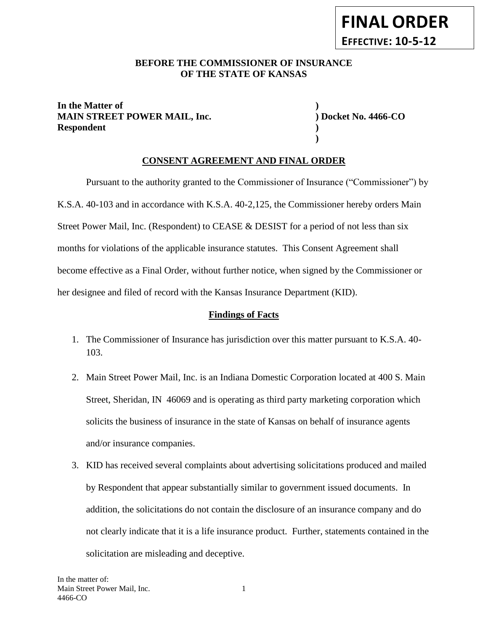### BEFORE THE COMMISSIONER OF INSURANCE **OF THE STATE OF KANSAS**

# **In the Matter of ) MAIN STREET POWER MAIL, Inc. ) Docket No. 4466-CO Respondent )**

**)**

# **CONSENT AGREEMENT AND FINAL ORDER**

Pursuant to the authority granted to the Commissioner of Insurance ("Commissioner") by K.S.A. 40-103 and in accordance with K.S.A. 40-2,125, the Commissioner hereby orders Main Street Power Mail, Inc. (Respondent) to CEASE & DESIST for a period of not less than six months for violations of the applicable insurance statutes. This Consent Agreement shall become effective as a Final Order, without further notice, when signed by the Commissioner or her designee and filed of record with the Kansas Insurance Department (KID).

# **Findings of Facts**

- 1. The Commissioner of Insurance has jurisdiction over this matter pursuant to K.S.A. 40- 103.
- 2. Main Street Power Mail, Inc. is an Indiana Domestic Corporation located at 400 S. Main Street, Sheridan, IN 46069 and is operating as third party marketing corporation which solicits the business of insurance in the state of Kansas on behalf of insurance agents and/or insurance companies.
- 3. KID has received several complaints about advertising solicitations produced and mailed by Respondent that appear substantially similar to government issued documents. In addition, the solicitations do not contain the disclosure of an insurance company and do not clearly indicate that it is a life insurance product. Further, statements contained in the solicitation are misleading and deceptive.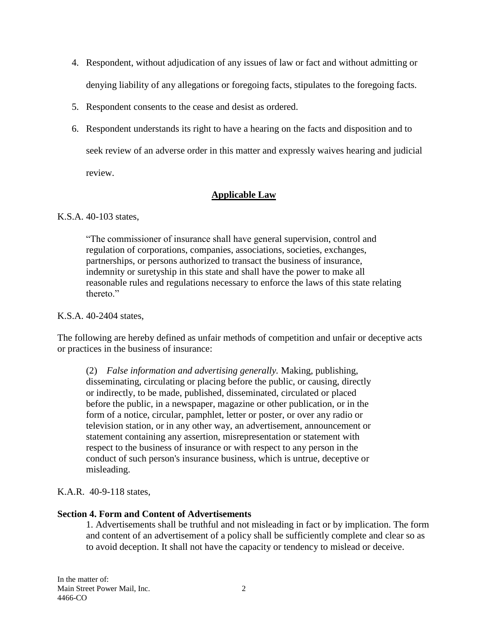- 4. Respondent, without adjudication of any issues of law or fact and without admitting or denying liability of any allegations or foregoing facts, stipulates to the foregoing facts.
- 5. Respondent consents to the cease and desist as ordered.
- 6. Respondent understands its right to have a hearing on the facts and disposition and to seek review of an adverse order in this matter and expressly waives hearing and judicial review.

# **Applicable Law**

# K.S.A. 40-103 states,

"The commissioner of insurance shall have general supervision, control and regulation of corporations, companies, associations, societies, exchanges, partnerships, or persons authorized to transact the business of insurance, indemnity or suretyship in this state and shall have the power to make all reasonable rules and regulations necessary to enforce the laws of this state relating thereto."

# K.S.A. 40-2404 states,

The following are hereby defined as unfair methods of competition and unfair or deceptive acts or practices in the business of insurance:

(2) *False information and advertising generally.* Making, publishing, disseminating, circulating or placing before the public, or causing, directly or indirectly, to be made, published, disseminated, circulated or placed before the public, in a newspaper, magazine or other publication, or in the form of a notice, circular, pamphlet, letter or poster, or over any radio or television station, or in any other way, an advertisement, announcement or statement containing any assertion, misrepresentation or statement with respect to the business of insurance or with respect to any person in the conduct of such person's insurance business, which is untrue, deceptive or misleading.

K.A.R. 40-9-118 states,

# **Section 4. Form and Content of Advertisements**

1. Advertisements shall be truthful and not misleading in fact or by implication. The form and content of an advertisement of a policy shall be sufficiently complete and clear so as to avoid deception. It shall not have the capacity or tendency to mislead or deceive.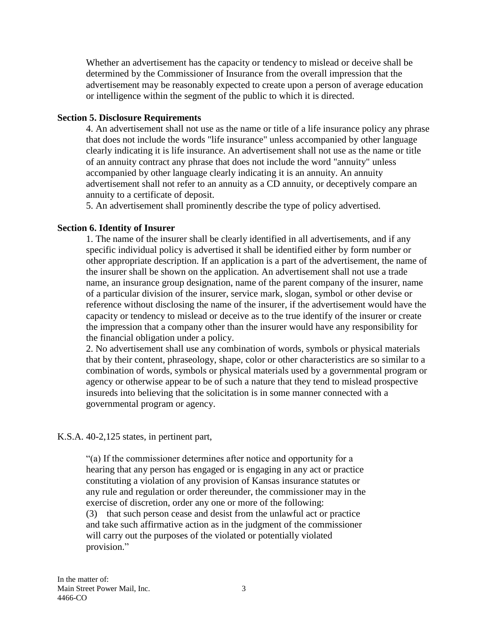Whether an advertisement has the capacity or tendency to mislead or deceive shall be determined by the Commissioner of Insurance from the overall impression that the advertisement may be reasonably expected to create upon a person of average education or intelligence within the segment of the public to which it is directed.

#### **Section 5. Disclosure Requirements**

4. An advertisement shall not use as the name or title of a life insurance policy any phrase that does not include the words "life insurance" unless accompanied by other language clearly indicating it is life insurance. An advertisement shall not use as the name or title of an annuity contract any phrase that does not include the word "annuity" unless accompanied by other language clearly indicating it is an annuity. An annuity advertisement shall not refer to an annuity as a CD annuity, or deceptively compare an annuity to a certificate of deposit.

5. An advertisement shall prominently describe the type of policy advertised.

# **Section 6. Identity of Insurer**

1. The name of the insurer shall be clearly identified in all advertisements, and if any specific individual policy is advertised it shall be identified either by form number or other appropriate description. If an application is a part of the advertisement, the name of the insurer shall be shown on the application. An advertisement shall not use a trade name, an insurance group designation, name of the parent company of the insurer, name of a particular division of the insurer, service mark, slogan, symbol or other devise or reference without disclosing the name of the insurer, if the advertisement would have the capacity or tendency to mislead or deceive as to the true identify of the insurer or create the impression that a company other than the insurer would have any responsibility for the financial obligation under a policy.

2. No advertisement shall use any combination of words, symbols or physical materials that by their content, phraseology, shape, color or other characteristics are so similar to a combination of words, symbols or physical materials used by a governmental program or agency or otherwise appear to be of such a nature that they tend to mislead prospective insureds into believing that the solicitation is in some manner connected with a governmental program or agency.

# K.S.A. 40-2,125 states, in pertinent part,

"(a) If the commissioner determines after notice and opportunity for a hearing that any person has engaged or is engaging in any act or practice constituting a violation of any provision of Kansas insurance statutes or any rule and regulation or order thereunder, the commissioner may in the exercise of discretion, order any one or more of the following: (3) that such person cease and desist from the unlawful act or practice and take such affirmative action as in the judgment of the commissioner will carry out the purposes of the violated or potentially violated provision."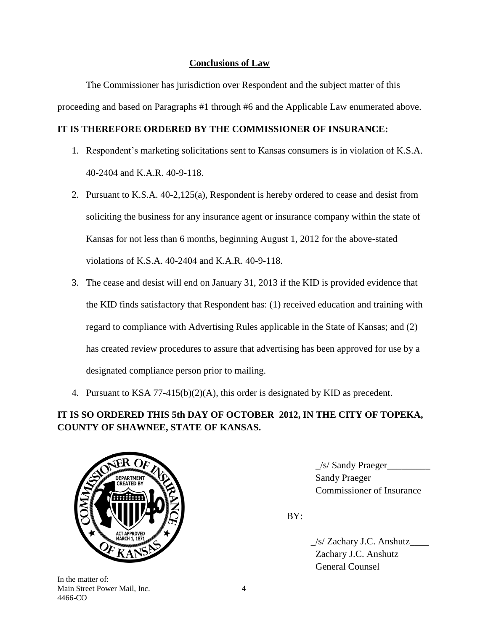# **Conclusions of Law**

The Commissioner has jurisdiction over Respondent and the subject matter of this proceeding and based on Paragraphs #1 through #6 and the Applicable Law enumerated above.

# **IT IS THEREFORE ORDERED BY THE COMMISSIONER OF INSURANCE:**

- 1. Respondent's marketing solicitations sent to Kansas consumers is in violation of K.S.A. 40-2404 and K.A.R. 40-9-118.
- 2. Pursuant to K.S.A. 40-2,125(a), Respondent is hereby ordered to cease and desist from soliciting the business for any insurance agent or insurance company within the state of Kansas for not less than 6 months, beginning August 1, 2012 for the above-stated violations of K.S.A. 40-2404 and K.A.R. 40-9-118.
- 3. The cease and desist will end on January 31, 2013 if the KID is provided evidence that the KID finds satisfactory that Respondent has: (1) received education and training with regard to compliance with Advertising Rules applicable in the State of Kansas; and (2) has created review procedures to assure that advertising has been approved for use by a designated compliance person prior to mailing.
- 4. Pursuant to KSA 77-415(b)(2)(A), this order is designated by KID as precedent.

# **IT IS SO ORDERED THIS 5th DAY OF OCTOBER 2012, IN THE CITY OF TOPEKA, COUNTY OF SHAWNEE, STATE OF KANSAS.**



 $\angle$ s/ Sandy Praeger $\angle$ 3. Commissioner of Insurance

BY:

 $\angle$ /s/ Zachary J.C. Anshutz $\angle$ Zachary J.C. Anshutz General Counsel

In the matter of: Main Street Power Mail, Inc. 4 4466-CO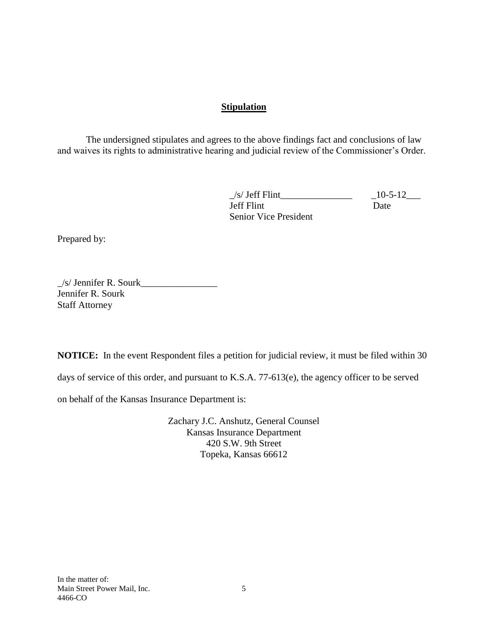# **Stipulation**

The undersigned stipulates and agrees to the above findings fact and conclusions of law and waives its rights to administrative hearing and judicial review of the Commissioner's Order.

> $\frac{10-5-12}{\frac{10-5-12}{\frac{10-5-12}{\frac{10-5-12}{\frac{10-5-12}{\frac{10-5-12}{\frac{10-5-12}{\frac{10-5-12}{\frac{10-5-12}{\frac{10-5-12}{\frac{10-5-12}{\frac{10-5-12}{\frac{10-5-12}{\frac{10-5-12}{\frac{10-5-12}{\frac{10-5-12}{\frac{10-5-12}{\frac{10-5-12}{\frac{10-5-12}{\frac{10-5-12}{$ Jeff Flint Date Senior Vice President

Prepared by:

 $\frac{1}{s}$  Jennifer R. Sourk Jennifer R. Sourk Staff Attorney

**NOTICE:** In the event Respondent files a petition for judicial review, it must be filed within 30

days of service of this order, and pursuant to K.S.A. 77-613(e), the agency officer to be served

on behalf of the Kansas Insurance Department is:

Zachary J.C. Anshutz, General Counsel Kansas Insurance Department 420 S.W. 9th Street Topeka, Kansas 66612